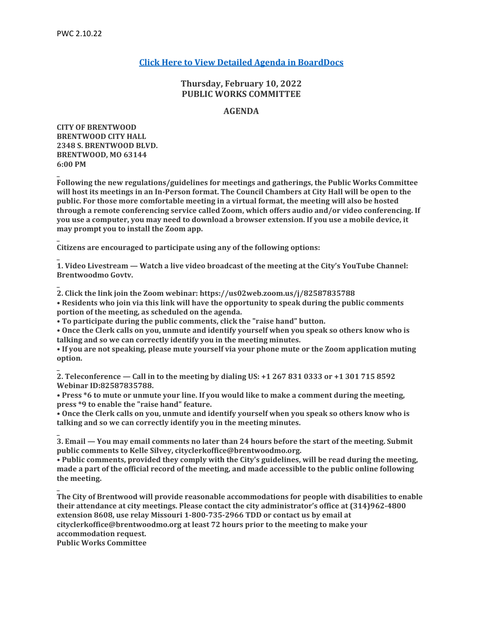**\_**

# **[Click Here to View Detailed Agenda in BoardDocs](http://go.boarddocs.com/mo/cob/Board.nsf/goto?open&id=C9AMHZ5AA5EA)**

# **Thursday, February 10, 2022 PUBLIC WORKS COMMITTEE**

# **AGENDA**

**CITY OF BRENTWOOD BRENTWOOD CITY HALL 2348 S. BRENTWOOD BLVD. BRENTWOOD, MO 63144 6:00 PM**

**Following the new regulations/guidelines for meetings and gatherings, the Public Works Committee will host its meetings in an In-Person format. The Council Chambers at City Hall will be open to the public. For those more comfortable meeting in a virtual format, the meeting will also be hosted through a remote conferencing service called Zoom, which offers audio and/or video conferencing. If you use a computer, you may need to download a browser extension. If you use a mobile device, it may prompt you to install the Zoom app.**

**\_ Citizens are encouraged to participate using any of the following options:**

**\_ 1. Video Livestream — Watch a live video broadcast of the meeting at the City's YouTube Channel: Brentwoodmo Govtv.**

**\_ 2. Click the link join the Zoom webinar: https://us02web.zoom.us/j/82587835788**

**• Residents who join via this link will have the opportunity to speak during the public comments portion of the meeting, as scheduled on the agenda.**

**• To participate during the public comments, click the "raise hand" button.**

**• Once the Clerk calls on you, unmute and identify yourself when you speak so others know who is talking and so we can correctly identify you in the meeting minutes.**

**• If you are not speaking, please mute yourself via your phone mute or the Zoom application muting option.**

**\_ 2. Teleconference — Call in to the meeting by dialing US: +1 267 831 0333 or +1 301 715 8592 Webinar ID:82587835788.**

**• Press \*6 to mute or unmute your line. If you would like to make a comment during the meeting, press \*9 to enable the "raise hand" feature.**

**• Once the Clerk calls on you, unmute and identify yourself when you speak so others know who is talking and so we can correctly identify you in the meeting minutes.**

**\_ 3. Email — You may email comments no later than 24 hours before the start of the meeting. Submit public comments to Kelle Silvey, cityclerkoffice@brentwoodmo.org.**

**• Public comments, provided they comply with the City's guidelines, will be read during the meeting, made a part of the official record of the meeting, and made accessible to the public online following the meeting.**

**\_ The City of Brentwood will provide reasonable accommodations for people with disabilities to enable their attendance at city meetings. Please contact the city administrator's office at (314)962-4800 extension 8608, use relay Missouri 1-800-735-2966 TDD or contact us by email at cityclerkoffice@brentwoodmo.org at least 72 hours prior to the meeting to make your accommodation request. Public Works Committee**